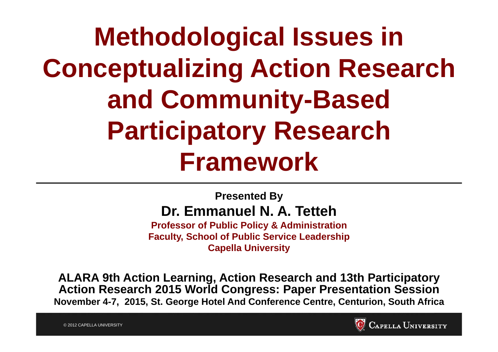**Methodological Issues in Conceptualizing Action Research and Community-Based Participatory Research Framework**

#### **Presented By Dr. Emmanuel N. A. Tetteh**

**Professor of Public Policy & Administration Faculty, School of Public Service Leadership Capella University**

**ALARA 9th Action Learning, Action Research and 13th Participatory Action Research 2015 World Congress: Paper Presentation Session November 4-7, 2015, St. George Hotel And Conference Centre, Centurion, South Africa**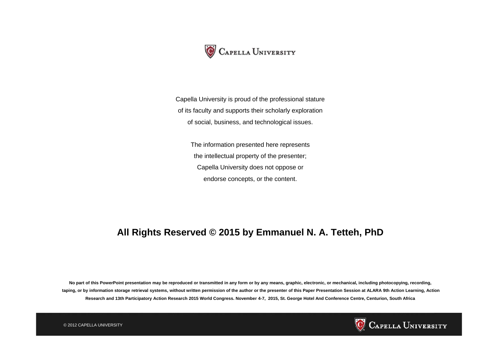

Capella University is proud of the professional stature of its faculty and supports their scholarly exploration of social, business, and technological issues.

The information presented here represents the intellectual property of the presenter; Capella University does not oppose or endorse concepts, or the content.

#### **All Rights Reserved © 2015 by Emmanuel N. A. Tetteh, PhD**

**No part of this PowerPoint presentation may be reproduced or transmitted in any form or by any means, graphic, electronic, or mechanical, including photocopying, recording, taping, or by information storage retrieval systems, without written permission of the author or the presenter of this Paper Presentation Session at ALARA 9th Action Learning, Action Research and 13th Participatory Action Research 2015 World Congress. November 4-7, 2015, St. George Hotel And Conference Centre, Centurion, South Africa**



© 2012 CAPELLA UNIVERSITY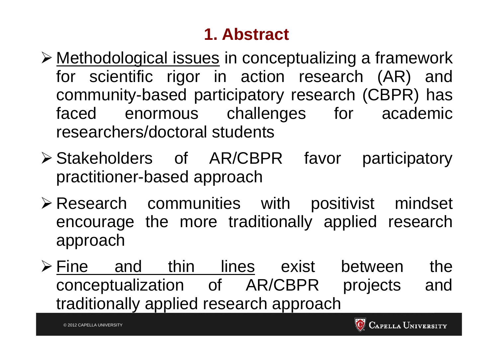## **1. Abstract**

- > Methodological issues in conceptualizing a framework for scientific rigor in action research (AR) and community-based participatory research (CBPR) has faced enormous challenges for academic researchers/doctoral students
- Stakeholders of AR/CBPR favor participatory practitioner-based approach
- Research communities with positivist mindset encourage the more traditionally applied research approach
- **Fine and thin lines exist between the** conceptualization of AR/CBPR projects and traditionally applied research approach

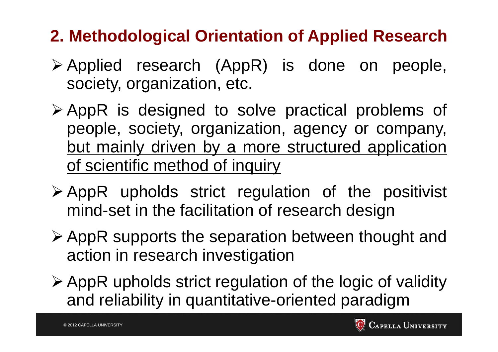## **2. Methodological Orientation of Applied Research**

- Applied research (AppR) is done on people, society, organization, etc.
- AppR is designed to solve practical problems of people, society, organization, agency or company, but mainly driven by <sup>a</sup> more structured application of scientific method of inquiry
- $\triangleright$  AppR upholds strict regulation of the positivist mind-set in the facilitation of research design
- AppR supports the separation between thought and action in research investigation
- AppR upholds strict regulation of the logic of validity and reliability in quantitative-oriented paradigm

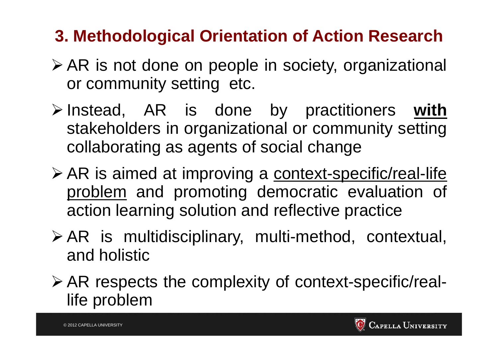## **3. Methodological Orientation of Action Research**

- AR is not done on people in society, organizational or community setting etc.
- Instead, AR is done by practitioners **with** stakeholders in organizational or community setting collaborating as agents of social change
- > AR is aimed at improving a context-specific/real-life problem and promoting democratic evaluation of action learning solution and reflective practice
- AR is multidisciplinary, multi-method, contextual, and holistic
- AR respects the complexity of context-specific/reallife problem

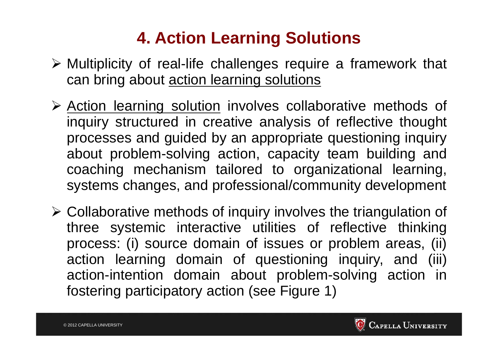## **4. Action Learning Solutions**

- Multiplicity of real-life challenges require <sup>a</sup> framework that can bring about action learning solutions
- > Action learning solution involves collaborative methods of inquiry structured in creative analysis of reflective thought processes and guided by an appropriate questioning inquiry about problem-solving action, capacity team building and coaching mechanism tailored to organizational learning, systems changes, and professional/community development
- $\triangleright$  Collaborative methods of inquiry involves the triangulation of three systemic interactive utilities of reflective thinking process: (i) source domain of issues or problem areas, (ii) action learning domain of questioning inquiry, and (iii) action-intention domain about problem-solving action in fostering participatory action (see Figure 1)

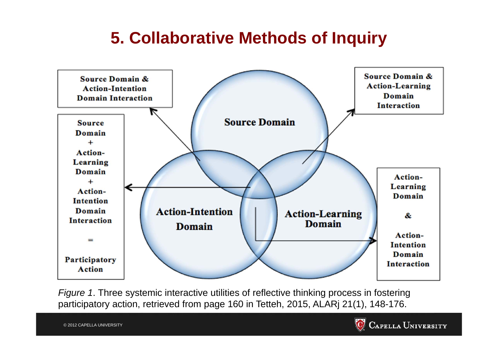## **5. Collaborative Methods of Inquiry**



*Figure 1*. Three systemic interactive utilities of reflective thinking process in fostering participatory action, retrieved from page 160 in Tetteh, 2015, ALARj 21(1), 148-176.

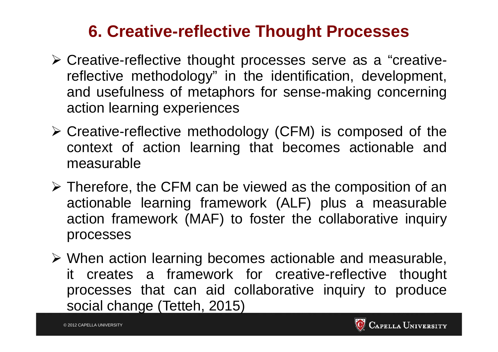#### **6. Creative-reflective Thought Processes**

- Creative-reflective thought processes serve as <sup>a</sup> "creativereflective methodology" in the identification, development, and usefulness of metaphors for sense-making concerning action learning experiences
- Creative-reflective methodology (CFM) is composed of the context of action learning that becomes actionable and measurable
- $\triangleright$  Therefore, the CFM can be viewed as the composition of an actionable learning framework (ALF) plus <sup>a</sup> measurable action framework (MAF) to foster the collaborative inquiry processes
- When action learning becomes actionable and measurable, it creates <sup>a</sup> framework for creative-reflective thought processes that can aid collaborative inquiry to produce social change (Tetteh, 2015)

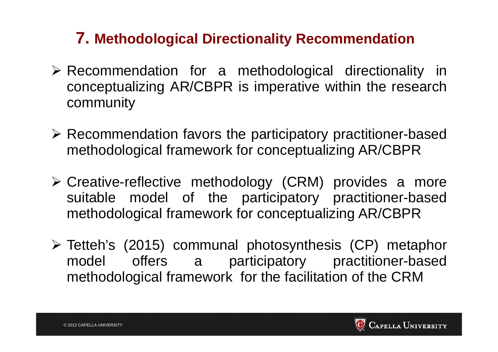#### **7. Methodological Directionality Recommendation**

- Recommendation for <sup>a</sup> methodological directionality in conceptualizing AR/CBPR is imperative within the research community
- Recommendation favors the participatory practitioner-based methodological framework for conceptualizing AR/CBPR
- Creative-reflective methodology (CRM) provides <sup>a</sup> more suitable model of the participatory practitioner-based methodological framework for conceptualizing AR/CBPR
- Tetteh's (2015) communal photosynthesis (CP) metaphor model offers <sup>a</sup> participatory practitioner-based methodological framework for the facilitation of the CRM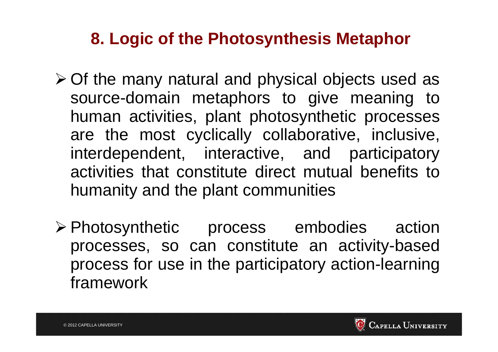#### **8. Logic of the Photosynthesis Metaphor**

- Of the many natural and physical objects used as source-domain metaphors to give meaning to human activities, plant photosynthetic processes are the most cyclically collaborative, inclusive, interdependent, interactive, and participatory activities that constitute direct mutual benefits tohumanity and the plant communities
- Photosynthetic process embodies action processes, so can constitute an activity-based process for use in the participatory action-learning framework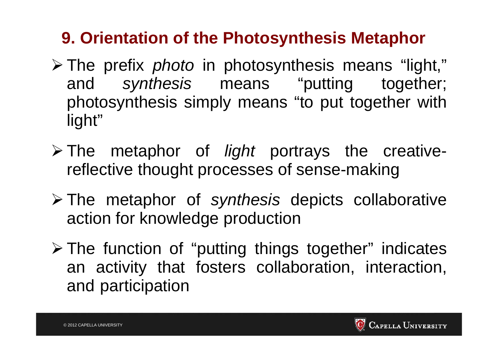## **9. Orientation of the Photosynthesis Metaphor**

- The prefix *photo* in photosynthesis means "light," and *synthesis* means "putting together; photosynthesis simply means "to put together with light"
- The metaphor of *light* portrays the creativereflective thought processes of sense-making
- The metaphor of *synthesis* depicts collaborative action for knowledge production
- The function of "putting things together" indicates an activity that fosters collaboration, interaction, and participation

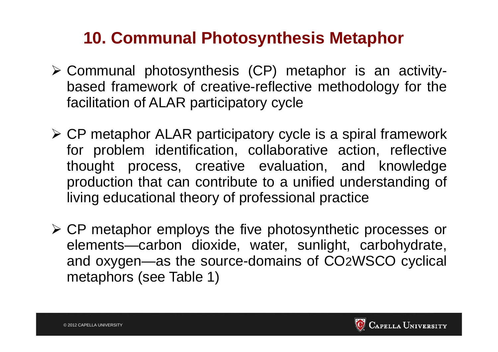#### **10. Communal Photosynthesis Metaphor**

- Communal photosynthesis (CP) metaphor is an activitybased framework of creative-reflective methodology for the facilitation of ALAR participatory cycle
- CP metaphor ALAR participatory cycle is <sup>a</sup> spiral framework for problem identification, collaborative action, reflective thought process, creative evaluation, and knowledge production that can contribute to <sup>a</sup> unified understanding of living educational theory of professional practice
- CP metaphor employs the five photosynthetic processes or elements—carbon dioxide, water, sunlight, carbohydrate, and oxygen—as the source-domains of CO2WSCO cyclical metaphors (see Table 1)

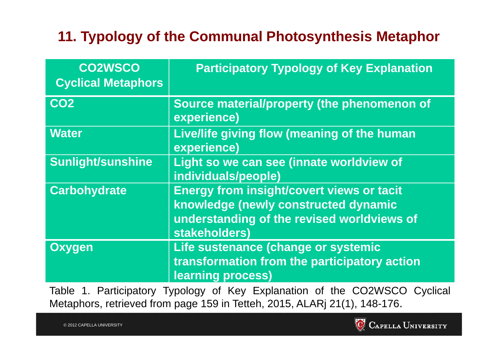#### **11. Typology of the Communal Photosynthesis Metaphor**

| <b>CO2WSCO</b><br><b>Cyclical Metaphors</b> | <b>Participatory Typology of Key Explanation</b>                                                                                                        |
|---------------------------------------------|---------------------------------------------------------------------------------------------------------------------------------------------------------|
| CO <sub>2</sub>                             | Source material/property (the phenomenon of<br>experience)                                                                                              |
| <b>Water</b>                                | Live/life giving flow (meaning of the human<br>experience)                                                                                              |
| <b>Sunlight/sunshine</b>                    | Light so we can see (innate worldview of<br>individuals/people)                                                                                         |
| <b>Carbohydrate</b>                         | <b>Energy from insight/covert views or tacit</b><br>knowledge (newly constructed dynamic<br>understanding of the revised worldviews of<br>stakeholders) |
| <b>Oxygen</b>                               | Life sustenance (change or systemic<br>transformation from the participatory action<br>learning process)                                                |

Table 1. Participatory Typology of Key Explanation of the CO2WSCO Cyclical Metaphors, retrieved from page 159 in Tetteh, 2015, ALARj 21(1), 148-176.

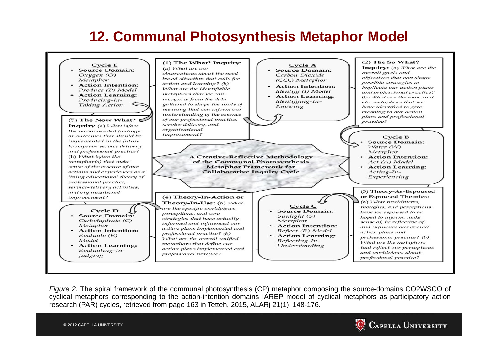#### **12. Communal Photosynthesis Metaphor Model**



*Figure* 2. The spiral framework of the communal photosynthesis (CP) metaphor composing the source-domains CO2WSCO of cyclical metaphors corresponding to the action-intention domains IAREP model of cyclical metaphors as participatory action research (PAR) cycles, retrieved from page 163 in Tetteh, 2015, ALARj 21(1), 148-176.

© 2012 CAPELLA UNIVERSITY

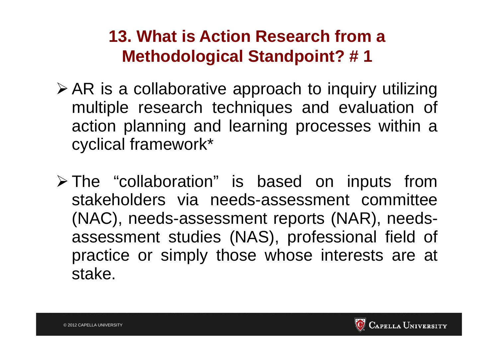- AR is <sup>a</sup> collaborative approach to inquiry utilizing multiple research techniques and evaluation of action planning and learning processes within <sup>a</sup> cyclical framework\*
- The "collaboration" is based on inputs from stakeholders via needs-assessment committee(NAC), needs-assessment reports (NAR), needsassessment studies (NAS), professional field of practice or simply those whose interests are at stake.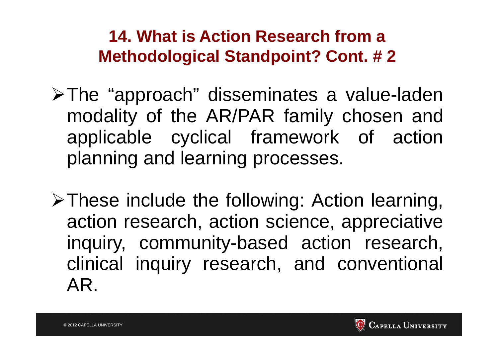- The "approach" disseminates <sup>a</sup> value-laden modality of the AR/PAR family chosen and applicable cyclical framework of action planning and learning processes.
- $\triangleright$  These include the following: Action learning, action research, action science, appreciative inquiry, community-based action research, clinical inquiry research, and conventional AR.

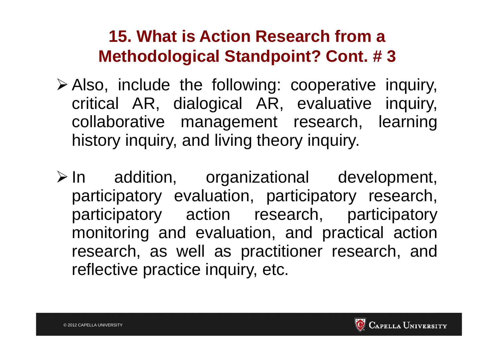- Also, include the following: cooperative inquiry, critical AR, dialogical AR, evaluative inquiry, collaborative management research, learning history inquiry, and living theory inquiry.
- In addition, organizational development, participatory evaluation, participatory research, participatory action research, participatory monitoring and evaluation, and practical action research, as well as practitioner research, and reflective practice inquiry, etc.

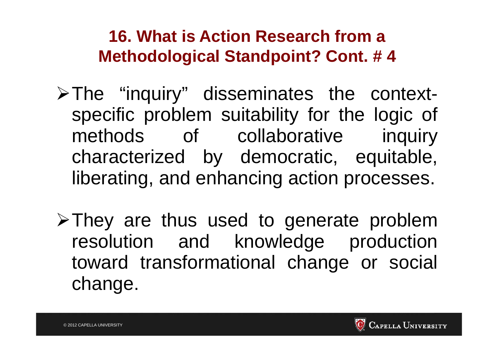- $\triangleright$  The "inquiry" disseminates the contextspecific problem suitability for the logic of methods of collaborative inquiry characterized by democratic, equitable, liberating, and enhancing action processes.
- $\triangleright$  They are thus used to generate problem resolution and knowledge production toward transformational change or social change.

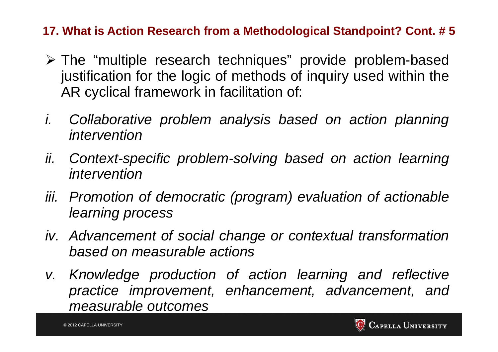- The "multiple research techniques" provide problem-based justification for the logic of methods of inquiry used within the AR cyclical framework in facilitation of:
- *i. Collaborative problem analysis based on action planning intervention*
- *ii. Context-specific problem-solving based on action learning intervention*
- *iii. Promotion of democratic (program) evaluation of actionable learning process*
- *iv. Advancement of social change or contextual transformation based on measurable actions*
- *v. Knowledge production of action learning and reflective practice improvement, enhancement, advancement, and measurable outcomes*

© 2012 CAPELLA UNIVERSITY

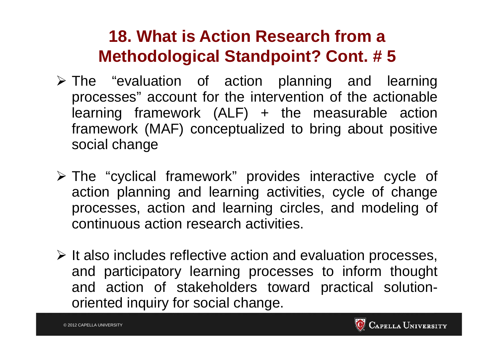- The "evaluation of action planning and learning processes" account for the intervention of the actionable learning framework (ALF) <sup>+</sup> the measurable action framework (MAF) conceptualized to bring about positive social change
- The "cyclical framework" provides interactive cycle of action planning and learning activities, cycle of change processes, action and learning circles, and modeling of continuous action research activities.
- $\triangleright$  It also includes reflective action and evaluation processes, and participatory learning processes to inform thought and action of stakeholders toward practical solutionoriented inquiry for social change.

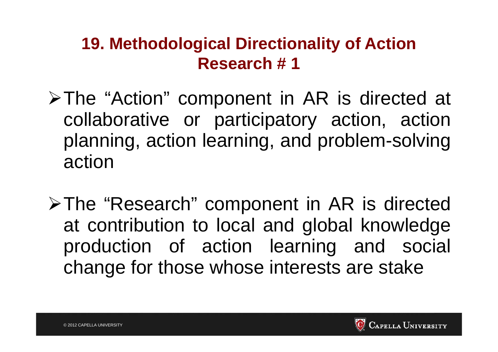- The "Action" component in AR is directed at collaborative or participatory action, action planning, action learning, and problem-solving action
- The "Research" component in AR is directed at contribution to local and global knowledge production of action learning and social change for those whose interests are stake

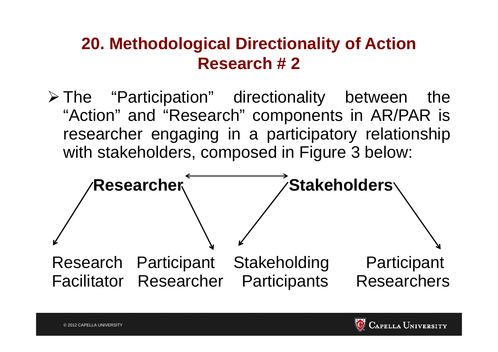The "Participation" directionality between the "Action" and "Research" components in AR/PAR is researcher engaging in <sup>a</sup> participatory relationship with stakeholders, composed in Figure 3 below:





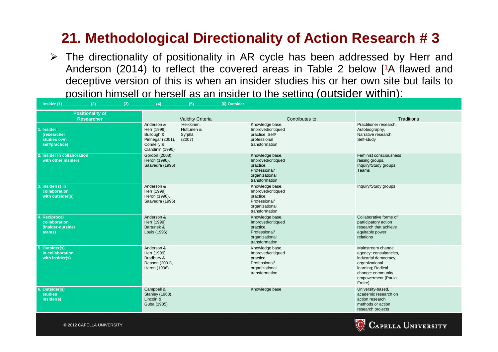The directionality of positionality in AR cycle has been addressed by Herr and Anderson (2014) to reflect the covered areas in Table 2 below  $[1A]$  flawed and deceptive version of this is when an insider studies his or her own site but fails to position himself or herself as an insider to the setting (outsider within):

| Insider (1)<br>$(2)$ .<br>(3)                                           | (4)<br>(5)<br>(6) Outsider                                                                                                                      |                                                                                                         |                                                                                                                                                                   |
|-------------------------------------------------------------------------|-------------------------------------------------------------------------------------------------------------------------------------------------|---------------------------------------------------------------------------------------------------------|-------------------------------------------------------------------------------------------------------------------------------------------------------------------|
| <b>Positionality of</b><br><b>Researcher</b>                            | <b>Validity Criteria</b>                                                                                                                        | Contributes to:                                                                                         | Traditions                                                                                                                                                        |
| 1. Insider <sup>1</sup><br>(researcher<br>studies own<br>self/practice) | Anderson &<br>Heikkinen,<br>Herr (1999),<br>Huttunen &<br>Bullough &<br>Syrjälä<br>Pinnegar (2001),<br>(2007)<br>Connelly &<br>Clandinin (1990) | Knowledge base,<br>Improved/critiqued<br>practice, Self/<br>professional<br>transformation              | Practitioner research,<br>Autobiography,<br>Narrative research,<br>Self-study                                                                                     |
| 2. Insider in collaboration<br>with other insiders                      | Gordon (2008),<br>Heron (1996),<br>Saavedra (1996)                                                                                              | Knowledge base,<br>Improved/critiqued<br>practice,<br>Professional/<br>organizational<br>transformation | Feminist consciousness<br>raising groups,<br>Inquiry/Study groups,<br>Teams                                                                                       |
| 3. Insider(s) in<br>collaboration<br>with outsider(s)                   | Anderson &<br>Herr (1999),<br>Heron (1996),<br>Saavedra (1996)                                                                                  | Knowledge base,<br>Improved/critiqued<br>practice,<br>Professional/<br>organizational<br>transformation | Inquiry/Study groups                                                                                                                                              |
| 4. Reciprocal<br>collaboration<br>(insider-outsider<br>teams)           | Anderson &<br>Herr (1999),<br>Bartunek &<br>Louis (1996)                                                                                        | Knowledge base,<br>Improved/critiqued<br>practice,<br>Professional/<br>organizational<br>transformation | Collaborative forms of<br>participatory action<br>research that achieve<br>equitable power<br>relations                                                           |
| 5. Outsider(s)<br>in collaboration<br>with insider(s)                   | Anderson &<br>Herr (1999),<br>Bradbury &<br>Reason (2001),<br>Heron (1996)                                                                      | Knowledge base,<br>Improved/critiqued<br>practice,<br>Professional/<br>organizational<br>transformation | Mainstream change<br>agency: consultancies,<br>industrial democracy,<br>organizational<br>learning; Radical<br>change: community<br>empowerment (Paulo<br>Freire) |
| 6. Outsider(s)<br><b>studies</b><br>insider(s)                          | Campbell &<br>Stanley (1963),<br>Lincoln &<br>Guba (1985)                                                                                       | Knowledge base                                                                                          | University-based,<br>academic research on<br>action research<br>methods or action<br>research projects                                                            |



© 2012 CAPELLA UNIVERSITY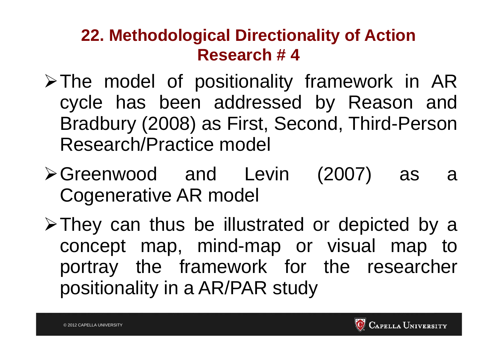- $\triangleright$  The model of positionality framework in AR cycle has been addressed by Reason and Bradbury (2008) as First, Second, Third-Person Research/Practice model
- Greenwood and Levin (2007) as <sup>a</sup> Cogenerative AR model
- $\triangleright$  They can thus be illustrated or depicted by a concept map, mind-map or visual map to portray the framework for the researcher positionality in <sup>a</sup> AR/PAR study



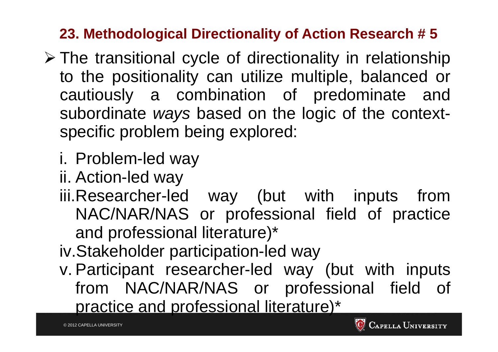- The transitional cycle of directionality in relationship to the positionality can utilize multiple, balanced or cautiously <sup>a</sup> combination of predominate and subordinate *ways* based on the logic of the contextspecific problem being explored:
	- i. Problem-led way
	- ii. Action-led way
	- iii.Researcher-led way (but with inputs from NAC/NAR/NAS or professional field of practice and professional literature)\*
	- iv.Stakeholder participation-led way
	- v. Participant researcher-led way (but with inputs from NAC/NAR/NAS or professional field of practice and professional literature)\*

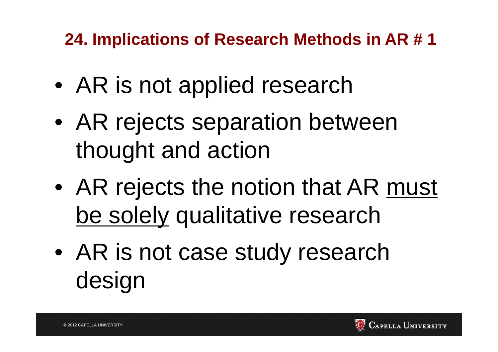**24. Implications of Research Methods in AR # 1** 

- $\bullet$ AR is not applied research
- $\bullet$  AR rejects separation between thought and action
- $\bullet$ AR rejects the notion that AR must be solely qualitative research
- $\bullet$  AR is not case study research design

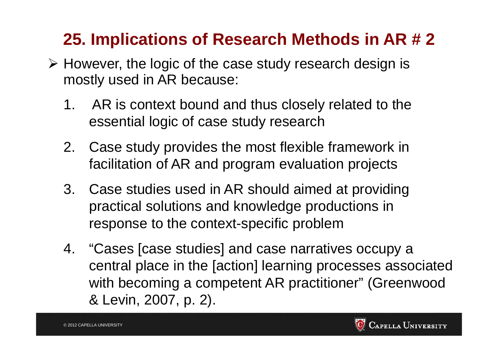## **25. Implications of Research Methods in AR # 2**

- However, the logic of the case study research design is mostly used in AR because:
	- 1. AR is context bound and thus closely related to the essential logic of case study research
	- 2. Case study provides the most flexible framework in facilitation of AR and program evaluation projects
	- 3. Case studies used in AR should aimed at providing practical solutions and knowledge productions in response to the context-specific problem
	- 4. "Cases [case studies] and case narratives occupy a central place in the [action] learning processes associated with becoming a competent AR practitioner" (Greenwood & Levin, 2007, p. 2).

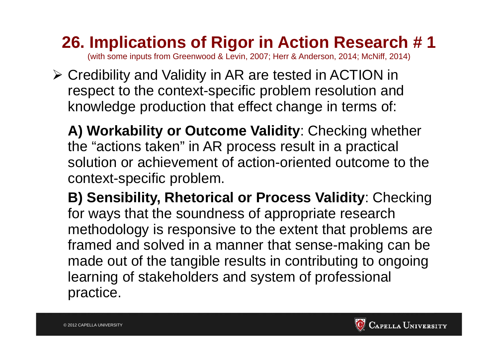**26. Implications of Rigor in Action Research # 1** 

(with some inputs from Greenwood & Levin, 2007; Herr & Anderson, 2014; McNiff, 2014)

 Credibility and Validity in AR are tested in ACTION in respect to the context-specific problem resolution and knowledge production that effect change in terms of:

**A) Workability or Outcome Validity**: Checking whether the "actions taken" in AR process result in a practical solution or achievement of action-oriented outcome to the context-specific problem.

**B) Sensibility, Rhetorical or Process Validity**: Checking for ways that the soundness of appropriate research methodology is responsive to the extent that problems are framed and solved in a manner that sense-making can be made out of the tangible results in contributing to ongoing learning of stakeholders and system of professional practice.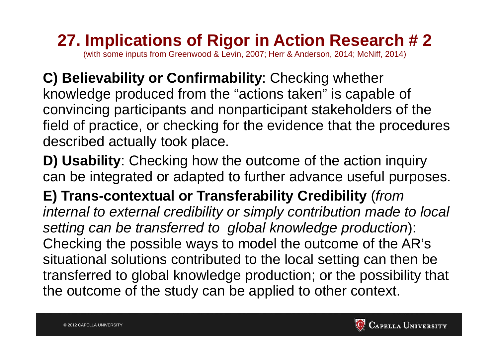#### **27. Implications of Rigor in Action Research # 2**  (with some inputs from Greenwood & Levin, 2007; Herr & Anderson, 2014; McNiff, 2014)

**C) Believability or Confirmability**: Checking whether knowledge produced from the "actions taken" is capable of convincing participants and nonparticipant stakeholders of the field of practice, or checking for the evidence that the procedures described actually took place.

**D) Usability**: Checking how the outcome of the action inquiry can be integrated or adapted to further advance useful purposes.

**E) Trans-contextual or Transferability Credibility** (*from internal to external credibility or simply contribution made to local setting can be transferred to global knowledge production*): Checking the possible ways to model the outcome of the AR's situational solutions contributed to the local setting can then be transferred to global knowledge production; or the possibility that the outcome of the study can be applied to other context.

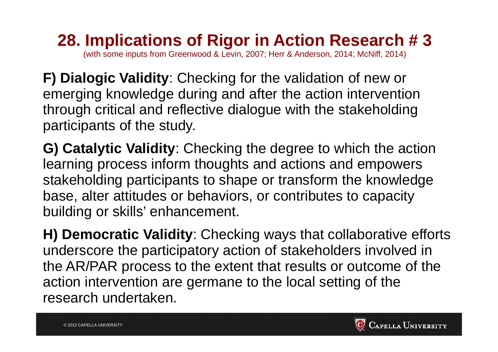**28. Implications of Rigor in Action Research # 3**  (with some inputs from Greenwood & Levin, 2007; Herr & Anderson, 2014; McNiff, 2014)

**F) Dialogic Validity**: Checking for the validation of new or emerging knowledge during and after the action intervention through critical and reflective dialogue with the stakeholding participants of the study.

**G) Catalytic Validity**: Checking the degree to which the action learning process inform thoughts and actions and empowers stakeholding participants to shape or transform the knowledge base, alter attitudes or behaviors, or contributes to capacity building or skills' enhancement.

**H) Democratic Validity**: Checking ways that collaborative efforts underscore the participatory action of stakeholders involved in the AR/PAR process to the extent that results or outcome of the action intervention are germane to the local setting of the research undertaken.

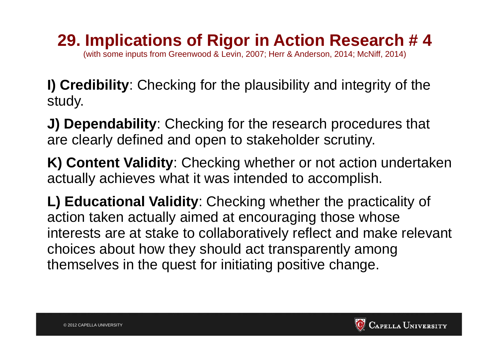## **29. Implications of Rigor in Action Research # 4**

(with some inputs from Greenwood & Levin, 2007; Herr & Anderson, 2014; McNiff, 2014)

**I) Credibility**: Checking for the plausibility and integrity of the study.

**J) Dependability**: Checking for the research procedures that are clearly defined and open to stakeholder scrutiny.

**K) Content Validity**: Checking whether or not action undertaken actually achieves what it was intended to accomplish.

**L) Educational Validity**: Checking whether the practicality of action taken actually aimed at encouraging those whose interests are at stake to collaboratively reflect and make relevant choices about how they should act transparently among themselves in the quest for initiating positive change.

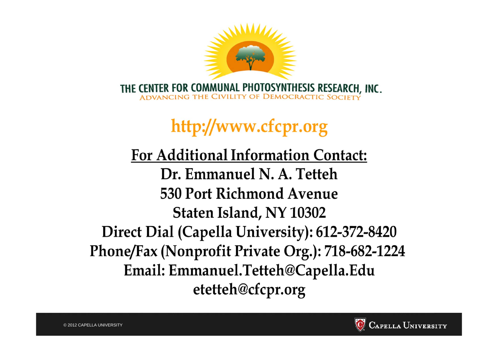

# http://www.cfcpr.org

**For Additional Information Contact:** Dr. Emmanuel N. A. Tetteh 530 Port Richmond Avenue Staten Island, NY 10302 Direct Dial (Capella University): 612-372-8420 Phone/Fax (Nonprofit Private Org.): 718-682-1224 Email: Emmanuel.Tetteh@Capella.Edu etetteh@cfcpr.org